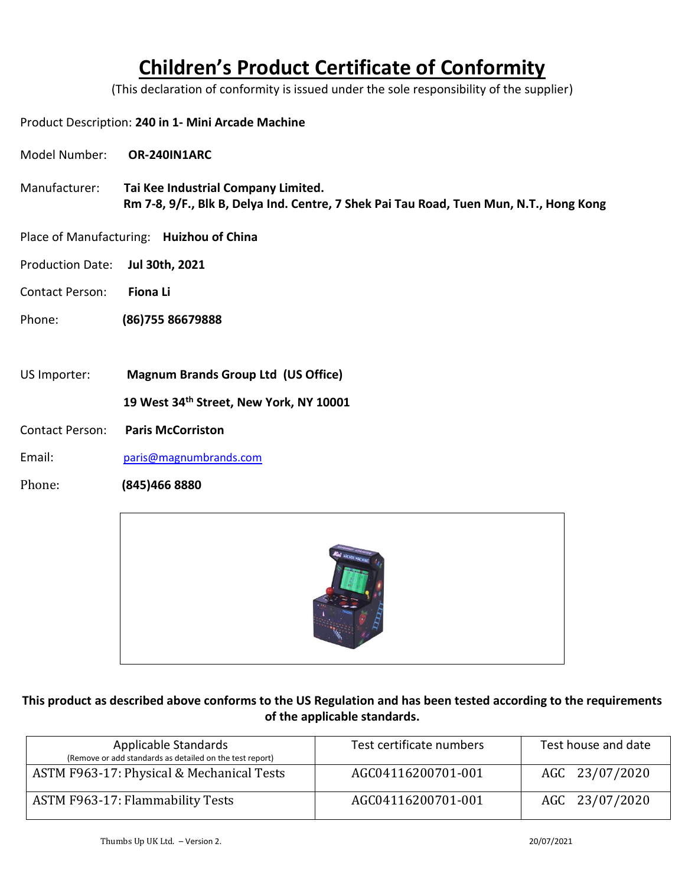## **Children's Product Certificate of Conformity**

(This declaration of conformity is issued under the sole responsibility of the supplier)

## Product Description: **240 in 1- Mini Arcade Machine**

- Model Number: **OR-240IN1ARC**
- Manufacturer: **Tai Kee Industrial Company Limited. Rm 7-8, 9/F., Blk B, Delya Ind. Centre, 7 Shek Pai Tau Road, Tuen Mun, N.T., Hong Kong**
- Place of Manufacturing: **Huizhou of China**
- Production Date: **Jul 30th, 2021**
- Contact Person: **Fiona Li**
- Phone: **(86)755 86679888**

## US Importer: **Magnum Brands Group Ltd (US Office)**

**19 West 34th Street, New York, NY 10001**

Contact Person: **Paris McCorriston**

Email: [paris@magnumbrands.com](mailto:paris@magnumbrands.com)

Phone: **(845)466 8880**



## **This product as described above conforms to the US Regulation and has been tested according to the requirements of the applicable standards.**

| Applicable Standards<br>(Remove or add standards as detailed on the test report) | Test certificate numbers | Test house and date |
|----------------------------------------------------------------------------------|--------------------------|---------------------|
| ASTM F963-17: Physical & Mechanical Tests                                        | AGC04116200701-001       | AGC 23/07/2020      |
| <b>ASTM F963-17: Flammability Tests</b>                                          | AGC04116200701-001       | AGC 23/07/2020      |